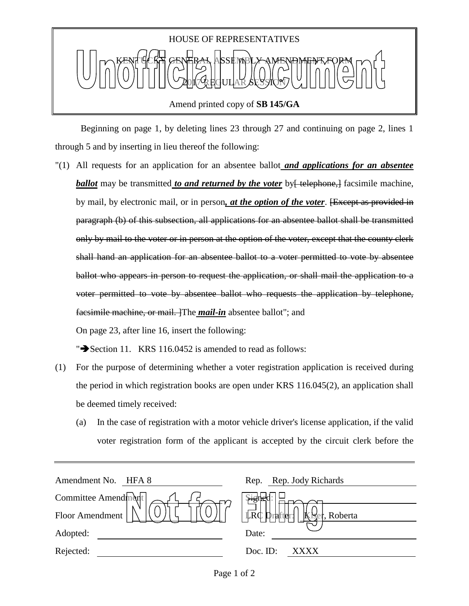

 Beginning on page 1, by deleting lines 23 through 27 and continuing on page 2, lines 1 through 5 and by inserting in lieu thereof the following:

"(1) All requests for an application for an absentee ballot *and applications for an absentee ballot* may be transmitted *to and returned by the voter* by telephone, facsimile machine, by mail, by electronic mail, or in person*, at the option of the voter*. [Except as provided in paragraph (b) of this subsection, all applications for an absentee ballot shall be transmitted only by mail to the voter or in person at the option of the voter, except that the county clerk shall hand an application for an absentee ballot to a voter permitted to vote by absentee ballot who appears in person to request the application, or shall mail the application to a voter permitted to vote by absentee ballot who requests the application by telephone, facsimile machine, or mail. The *mail-in* absentee ballot"; and

On page 23, after line 16, insert the following:

" $\blacktriangleright$  Section 11. KRS 116.0452 is amended to read as follows:

- (1) For the purpose of determining whether a voter registration application is received during the period in which registration books are open under KRS 116.045(2), an application shall be deemed timely received:
	- (a) In the case of registration with a motor vehicle driver's license application, if the valid voter registration form of the applicant is accepted by the circuit clerk before the

| Amendment No.<br>HFA 8 | Rep. Rep. Jody Richards                                 |
|------------------------|---------------------------------------------------------|
| Committee Amendment    | <u>भृति</u>                                             |
| Floor Amendment        | $ \vec{LRC} $<br>$\mathbb{K}$<br>Draffler:<br>, Roberta |
| Adopted:               | Date:                                                   |
| Rejected:              | Doc. ID:<br>XXXX                                        |
|                        |                                                         |